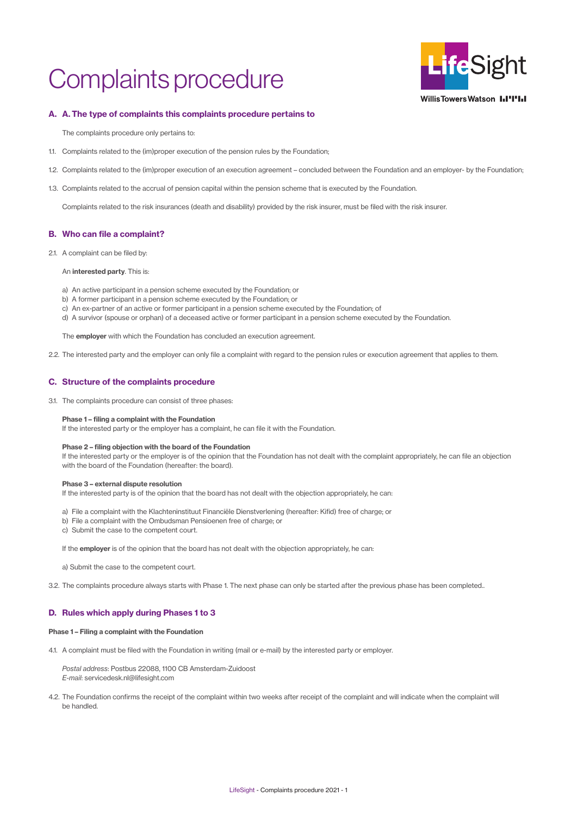# Complaints procedure



**WillisTowersWatson I.I'I'I.I** 

# A. A. The type of complaints this complaints procedure pertains to

The complaints procedure only pertains to:

- 1.1. Complaints related to the (im)proper execution of the pension rules by the Foundation;
- 1.2. Complaints related to the (im)proper execution of an execution agreement concluded between the Foundation and an employer- by the Foundation;
- 1.3. Complaints related to the accrual of pension capital within the pension scheme that is executed by the Foundation.

 Complaints related to the risk insurances (death and disability) provided by the risk insurer, must be filed with the risk insurer.

# B. Who can file a complaint?

2.1. A complaint can be filed by:

# An interested party. This is:

- a) An active participant in a pension scheme executed by the Foundation; or
- b) A former participant in a pension scheme executed by the Foundation; or
- c) An ex-partner of an active or former participant in a pension scheme executed by the Foundation; of
- d) A survivor (spouse or orphan) of a deceased active or former participant in a pension scheme executed by the Foundation.

The **employer** with which the Foundation has concluded an execution agreement.

2.2. The interested party and the employer can only file a complaint with regard to the pension rules or execution agreement that applies to them.

- a) File a complaint with the Klachteninstituut Financiële Dienstverlening (hereafter: Kifid) free of charge; or
- b) File a complaint with the Ombudsman Pensioenen free of charge; or
- c) Submit the case to the competent court.

If the employer is of the opinion that the board has not dealt with the objection appropriately, he can:

# C. Structure of the complaints procedure

3.1. The complaints procedure can consist of three phases:

## Phase 1 – filing a complaint with the Foundation

4.2. The Foundation confirms the receipt of the complaint within two weeks after receipt of the complaint and will indicate when the complaint will be handled.

 If the interested party or the employer has a complaint, he can file it with the Foundation.

## Phase 2 – filing objection with the board of the Foundation

If the interested party or the employer is of the opinion that the Foundation has not dealt with the complaint appropriately, he can file an objection with the board of the Foundation (hereafter: the board).

## Phase 3 – external dispute resolution

 If the interested party is of the opinion that the board has not dealt with the objection appropriately, he can:

a) Submit the case to the competent court.

3.2. The complaints procedure always starts with Phase 1. The next phase can only be started after the previous phase has been completed..

# D. Rules which apply during Phases 1 to 3

#### Phase 1 – Filing a complaint with the Foundation

4.1. A complaint must be filed with the Foundation in writing (mail or e-mail) by the interested party or employer.

*Postal address*: Postbus 22088, 1100 CB Amsterdam-Zuidoost *E-mail*[: servicedesk.nl@lifesight.com](mailto:servicedesk.nl%40lifesight.com?subject=)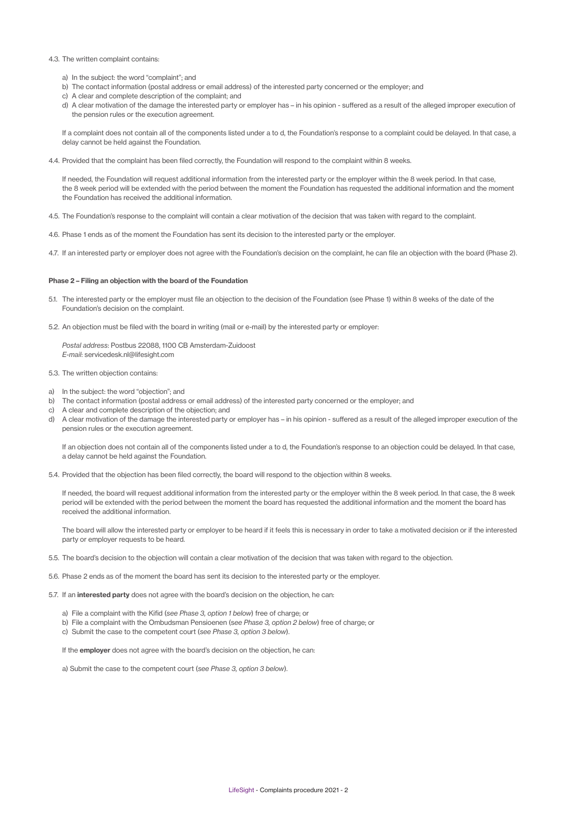#### 4.3. The written complaint contains:

- a) In the subject: the word "complaint"; and
- b) The contact information (postal address or email address) of the interested party concerned or the employer; and
- c) A clear and complete description of the complaint; and
- d) A clear motivation of the damage the interested party or employer has in his opinion suffered as a result of the alleged improper execution of the pension rules or the execution agreement.

- 4.5. The Foundation's response to the complaint will contain a clear motivation of the decision that was taken with regard to the complaint.
- 4.6. Phase 1 ends as of the moment the Foundation has sent its decision to the interested party or the employer.
- 4.7. If an interested party or employer does not agree with the Foundation's decision on the complaint, he can file an objection with the board (Phase 2).

 If a complaint does not contain all of the components listed under a to d, the Foundation's response to a complaint could be delayed. In that case, a delay cannot be held against the Foundation.

4.4. Provided that the complaint has been filed correctly, the Foundation will respond to the complaint within 8 weeks.

- 5.1. The interested party or the employer must file an objection to the decision of the Foundation (see Phase 1) within 8 weeks of the date of the Foundation's decision on the complaint.
- 5.2. An objection must be filed with the board in writing (mail or e-mail) by the interested party or employer:

 If needed, the Foundation will request additional information from the interested party or the employer within the 8 week period. In that case, the 8 week period will be extended with the period between the moment the Foundation has requested the additional information and the moment the Foundation has received the additional information.

- 5.3. The written objection contains:
- a) In the subject: the word "objection"; and
- b) The contact information (postal address or email address) of the interested party concerned or the employer; and
- c) A clear and complete description of the objection; and
- d) A clear motivation of the damage the interested party or employer has in his opinion suffered as a result of the alleged improper execution of the pension rules or the execution agreement.

#### Phase 2 – Filing an objection with the board of the Foundation

- 5.5. The board's decision to the objection will contain a clear motivation of the decision that was taken with regard to the objection.
- 5.6. Phase 2 ends as of the moment the board has sent its decision to the interested party or the employer.
- 5.7. If an interested party does not agree with the board's decision on the objection, he can:

a) File a complaint with the Kifid (see *Phase 3, option 1 below*) free of charge; or

*Postal address*: Postbus 22088, 1100 CB Amsterdam-Zuidoost *E-mail*[: servicedesk.nl@lifesight.com](mailto:servicedesk.nl%40lifesight.com?subject=)

If an objection does not contain all of the components listed under a to d, the Foundation's response to an objection could be delayed. In that case, a delay cannot be held against the Foundation.

5.4. Provided that the objection has been filed correctly, the board will respond to the objection within 8 weeks.

 If needed, the board will request additional information from the interested party or the employer within the 8 week period. In that case, the 8 week period will be extended with the period between the moment the board has requested the additional information and the moment the board has received the additional information.

 The board will allow the interested party or employer to be heard if it feels this is necessary in order to take a motivated decision or if the interested party or employer requests to be heard.

b) File a complaint with the Ombudsman Pensioenen (s*ee Phase 3, option 2 below*) free of charge; or

c) Submit the case to the competent court (*see Phase 3, option 3 below*).

If the **employer** does not agree with the board's decision on the objection, he can:

a) Submit the case to the competent court (*see Phase 3, option 3 below*).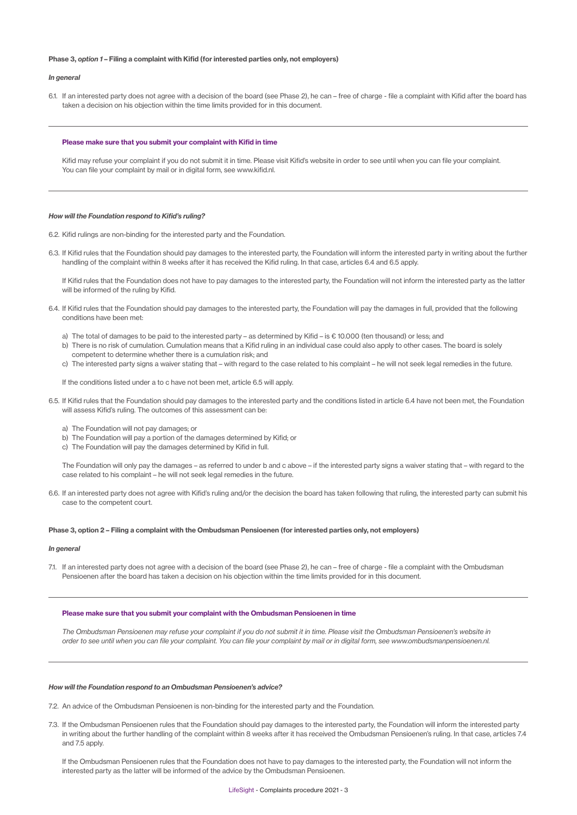LifeSight - Complaints procedure 2021 - 3

#### Phase 3, *option 1* – Filing a complaint with Kifid (for interested parties only, not employers)

#### *In general*

6.1. If an interested party does not agree with a decision of the board (see Phase 2), he can – free of charge - file a complaint with Kifid after the board has taken a decision on his objection within the time limits provided for in this document.

#### Please make sure that you submit your complaint with Kifid in time

- 6.2. Kifid rulings are non-binding for the interested party and the Foundation.
- 6.3. If Kifid rules that the Foundation should pay damages to the interested party, the Foundation will inform the interested party in writing about the further handling of the complaint within 8 weeks after it has received the Kifid ruling. In that case, articles 6.4 and 6.5 apply.

Kifid may refuse your complaint if you do not submit it in time. Please visit Kifid's website in order to see until when you can file your complaint. You can file your complaint by mail or in digital form, see [www.kifid.nl.](https://www.kifid.nl)

#### How will the Foundation respond to Kifid's ruling?

If Kifid rules that the Foundation does not have to pay damages to the interested party, the Foundation will not inform the interested party as the latter will be informed of the ruling by Kifid.

- 6.4. If Kifid rules that the Foundation should pay damages to the interested party, the Foundation will pay the damages in full, provided that the following conditions have been met:
	- a) The total of damages to be paid to the interested party as determined by Kifid is € 10.000 (ten thousand) or less; and
	- b) There is no risk of cumulation. Cumulation means that a Kifid ruling in an individual case could also apply to other cases. The board is solely competent to determine whether there is a cumulation risk; and
	- c) The interested party signs a waiver stating that with regard to the case related to his complaint he will not seek legal remedies in the future.

7.1. If an interested party does not agree with a decision of the board (see Phase 2), he can – free of charge - file a complaint with the Ombudsman Pensioenen after the board has taken a decision on his objection within the time limits provided for in this document.

If the conditions listed under a to c have not been met, article 6.5 will apply.

- 6.5. If Kifid rules that the Foundation should pay damages to the interested party and the conditions listed in article 6.4 have not been met, the Foundation will assess Kifid's ruling. The outcomes of this assessment can be:
	- a) The Foundation will not pay damages; or
	- b) The Foundation will pay a portion of the damages determined by Kifid; or
	- c) The Foundation will pay the damages determined by Kifid in full.

 The Foundation will only pay the damages – as referred to under b and c above – if the interested party signs a waiver stating that – with regard to the case related to his complaint – he will not seek legal remedies in the future.

6.6. If an interested party does not agree with Kifid's ruling and/or the decision the board has taken following that ruling, the interested party can submit his case to the competent court.

#### Phase 3, option 2 – Filing a complaint with the Ombudsman Pensioenen (for interested parties only, not employers)

#### *In general*

#### Please make sure that you submit your complaint with the Ombudsman Pensioenen in time

*The Ombudsman Pensioenen may refuse your complaint if you do not submit it in time. Please visit the Ombudsman Pensioenen's website in*  order to see until when you can file your complaint. You can file your complaint by mail or in digital form, [see www.ombudsmanpensioenen.nl.](https://www.ombudsmanpensioenen.nl)

#### How will the Foundation respond to an Ombudsman Pensioenen's advice?

7.2. An advice of the Ombudsman Pensioenen is non-binding for the interested party and the Foundation.

7.3. If the Ombudsman Pensioenen rules that the Foundation should pay damages to the interested party, the Foundation will inform the interested party in writing about the further handling of the complaint within 8 weeks after it has received the Ombudsman Pensioenen's ruling. In that case, articles 7.4 and 7.5 apply.

 If the Ombudsman Pensioenen rules that the Foundation does not have to pay damages to the interested party, the Foundation will not inform the interested party as the latter will be informed of the advice by the Ombudsman Pensioenen.